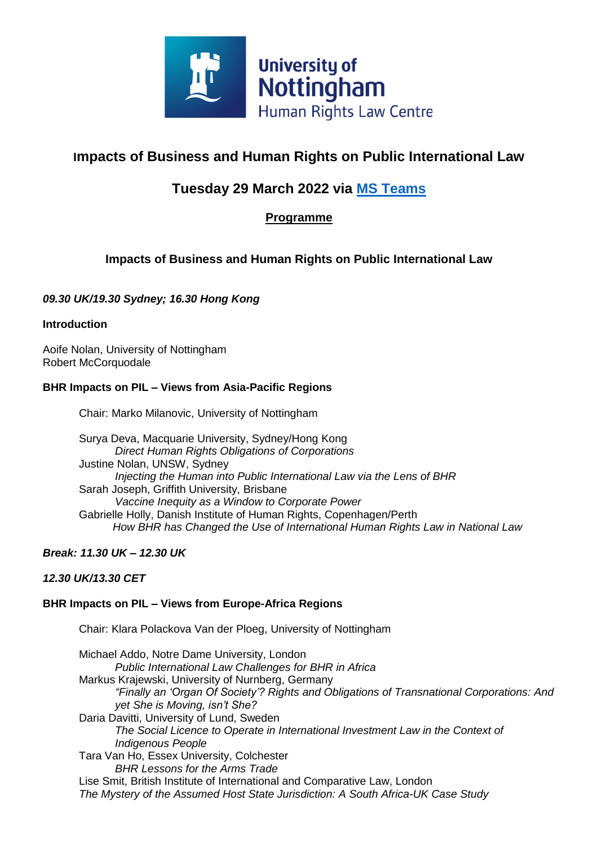

# **Impacts of Business and Human Rights on Public International Law**

# **Tuesday 29 March 2022 via [MS Teams](https://teams.microsoft.com/l/meetup-join/19%3ameeting_OTU0ZGY2NjktMjMxNC00YTI4LThmNjktOTlhNTMxMjc1OGI2%40thread.v2/0?context=%7b%22Tid%22%3a%2267bda7ee-fd80-41ef-ac91-358418290a1e%22%2c%22Oid%22%3a%22c68f6a84-5132-4580-806e-74d0e422c1ec%22%7d)**

# **Programme**

# **Impacts of Business and Human Rights on Public International Law**

# *09.30 UK/19.30 Sydney; 16.30 Hong Kong*

#### **Introduction**

Aoife Nolan, University of Nottingham Robert McCorquodale

# **BHR Impacts on PIL – Views from Asia-Pacific Regions**

Chair: Marko Milanovic, University of Nottingham

Surya Deva, Macquarie University, Sydney/Hong Kong *Direct Human Rights Obligations of Corporations* Justine Nolan, UNSW, Sydney *Injecting the Human into Public International Law via the Lens of BHR* Sarah Joseph, Griffith University, Brisbane *Vaccine Inequity as a Window to Corporate Power* Gabrielle Holly, Danish Institute of Human Rights, Copenhagen/Perth  *How BHR has Changed the Use of International Human Rights Law in National Law*

## *Break: 11.30 UK – 12.30 UK*

## *12.30 UK/13.30 CET*

## **BHR Impacts on PIL – Views from Europe-Africa Regions**

Chair: Klara Polackova Van der Ploeg, University of Nottingham

Michael Addo, Notre Dame University, London *Public International Law Challenges for BHR in Africa* Markus Krajewski, University of Nurnberg, Germany *"Finally an 'Organ Of Society'? Rights and Obligations of Transnational Corporations: And yet She is Moving, isn't She?* Daria Davitti, University of Lund, Sweden *The Social Licence to Operate in International Investment Law in the Context of Indigenous People* Tara Van Ho, Essex University, Colchester *BHR Lessons for the Arms Trade*

Lise Smit, British Institute of International and Comparative Law, London

*The Mystery of the Assumed Host State Jurisdiction: A South Africa-UK Case Study*